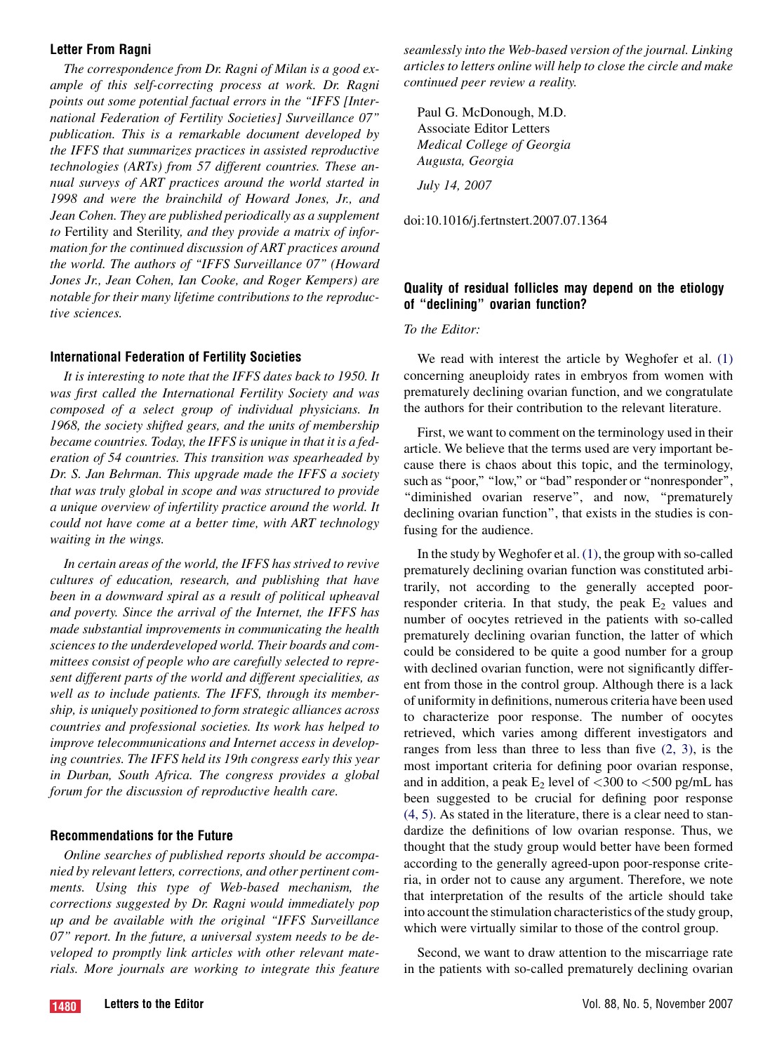## Letter From Ragni

The correspondence from Dr. Ragni of Milan is a good example of this self-correcting process at work. Dr. Ragni points out some potential factual errors in the ''IFFS [International Federation of Fertility Societies] Surveillance 07'' publication. This is a remarkable document developed by the IFFS that summarizes practices in assisted reproductive technologies (ARTs) from 57 different countries. These annual surveys of ART practices around the world started in 1998 and were the brainchild of Howard Jones, Jr., and Jean Cohen. They are published periodically as a supplement to Fertility and Sterility, and they provide a matrix of information for the continued discussion of ART practices around the world. The authors of ''IFFS Surveillance 07'' (Howard Jones Jr., Jean Cohen, Ian Cooke, and Roger Kempers) are notable for their many lifetime contributions to the reproductive sciences.

### International Federation of Fertility Societies

It is interesting to note that the IFFS dates back to 1950. It was first called the International Fertility Society and was composed of a select group of individual physicians. In 1968, the society shifted gears, and the units of membership became countries. Today, the IFFS is unique in that it is a federation of 54 countries. This transition was spearheaded by Dr. S. Jan Behrman. This upgrade made the IFFS a society that was truly global in scope and was structured to provide a unique overview of infertility practice around the world. It could not have come at a better time, with ART technology waiting in the wings.

In certain areas of the world, the IFFS has strived to revive cultures of education, research, and publishing that have been in a downward spiral as a result of political upheaval and poverty. Since the arrival of the Internet, the IFFS has made substantial improvements in communicating the health sciences to the underdeveloped world. Their boards and committees consist of people who are carefully selected to represent different parts of the world and different specialities, as well as to include patients. The IFFS, through its membership, is uniquely positioned to form strategic alliances across countries and professional societies. Its work has helped to improve telecommunications and Internet access in developing countries. The IFFS held its 19th congress early this year in Durban, South Africa. The congress provides a global forum for the discussion of reproductive health care.

#### Recommendations for the Future

Online searches of published reports should be accompanied by relevant letters, corrections, and other pertinent comments. Using this type of Web-based mechanism, the corrections suggested by Dr. Ragni would immediately pop up and be available with the original ''IFFS Surveillance 07'' report. In the future, a universal system needs to be developed to promptly link articles with other relevant materials. More journals are working to integrate this feature seamlessly into the Web-based version of the journal. Linking articles to letters online will help to close the circle and make continued peer review a reality.

Paul G. McDonough, M.D. Associate Editor Letters Medical College of Georgia Augusta, Georgia July 14, 2007

doi:10.1016/j.fertnstert.2007.07.1364

# Quality of residual follicles may depend on the etiology of ''declining'' ovarian function?

To the Editor:

We read with interest the article by Weghofer et al. [\(1\)](#page-1-0) concerning aneuploidy rates in embryos from women with prematurely declining ovarian function, and we congratulate the authors for their contribution to the relevant literature.

First, we want to comment on the terminology used in their article. We believe that the terms used are very important because there is chaos about this topic, and the terminology, such as "poor," "low," or "bad" responder or "nonresponder", "diminished ovarian reserve", and now, "prematurely declining ovarian function'', that exists in the studies is confusing for the audience.

In the study by Weghofer et al. [\(1\),](#page-1-0) the group with so-called prematurely declining ovarian function was constituted arbitrarily, not according to the generally accepted poorresponder criteria. In that study, the peak  $E_2$  values and number of oocytes retrieved in the patients with so-called prematurely declining ovarian function, the latter of which could be considered to be quite a good number for a group with declined ovarian function, were not significantly different from those in the control group. Although there is a lack of uniformity in definitions, numerous criteria have been used to characterize poor response. The number of oocytes retrieved, which varies among different investigators and ranges from less than three to less than five [\(2, 3\)](#page-1-0), is the most important criteria for defining poor ovarian response, and in addition, a peak  $E_2$  level of <300 to <500 pg/mL has been suggested to be crucial for defining poor response [\(4, 5\)](#page-1-0). As stated in the literature, there is a clear need to standardize the definitions of low ovarian response. Thus, we thought that the study group would better have been formed according to the generally agreed-upon poor-response criteria, in order not to cause any argument. Therefore, we note that interpretation of the results of the article should take into account the stimulation characteristics of the study group, which were virtually similar to those of the control group.

Second, we want to draw attention to the miscarriage rate in the patients with so-called prematurely declining ovarian